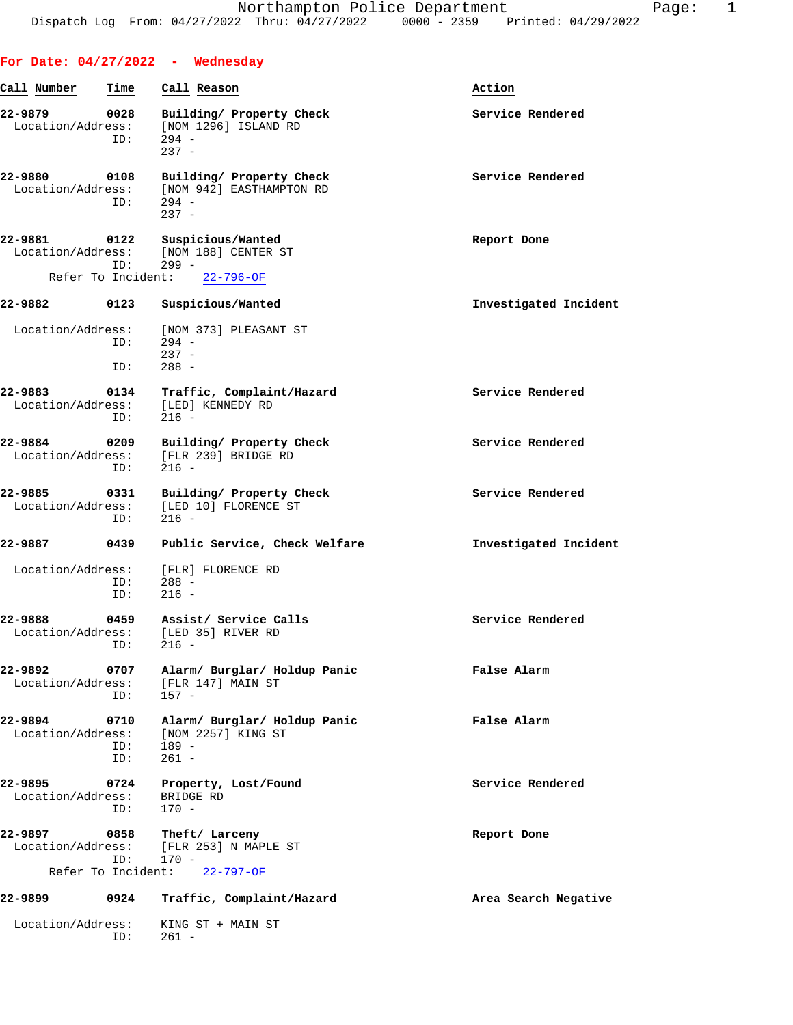|                                                            |                    | For Date: $04/27/2022 -$ Wednesday                                                |                       |
|------------------------------------------------------------|--------------------|-----------------------------------------------------------------------------------|-----------------------|
| Call Number                                                | Time               | Call Reason                                                                       | Action                |
| 22-9879<br>Location/Address:                               | 0028<br>ID:        | Building/ Property Check<br>[NOM 1296] ISLAND RD<br>$294 -$<br>$237 -$            | Service Rendered      |
| 22-9880<br>Location/Address:                               | 0108<br>ID:        | Building/ Property Check<br>[NOM 942] EASTHAMPTON RD<br>$294 -$<br>$237 -$        | Service Rendered      |
| 22-9881<br>0122<br>Location/Address:<br>Refer To Incident: | ID:                | Suspicious/Wanted<br>[NOM 188] CENTER ST<br>$299 -$<br>$22 - 796 - OF$            | Report Done           |
| 22-9882                                                    | 0123               | Suspicious/Wanted                                                                 | Investigated Incident |
| Location/Address:                                          | ID:<br>ID:         | [NOM 373] PLEASANT ST<br>$294 -$<br>$237 -$<br>$288 -$                            |                       |
| 22-9883<br>Location/Address:                               | 0134<br>ID:        | Traffic, Complaint/Hazard<br>[LED] KENNEDY RD<br>$216 -$                          | Service Rendered      |
| 22-9884<br>Location/Address:                               | 0209<br>ID:        | Building/ Property Check<br>[FLR 239] BRIDGE RD<br>$216 -$                        | Service Rendered      |
| 22-9885<br>Location/Address:                               | 0331<br>ID:        | Building/ Property Check<br>[LED 10] FLORENCE ST<br>$216 -$                       | Service Rendered      |
| 22-9887                                                    | 0439               | Public Service, Check Welfare                                                     | Investigated Incident |
| Location/Address:                                          | ID:<br>ID:         | [FLR] FLORENCE RD<br>$288 -$<br>$216 -$                                           |                       |
| 22–9888                                                    | 0459<br>ID:        | Assist/ Service Calls<br>Location/Address: [LED 35] RIVER RD<br>$216 -$           | Service Rendered      |
| 22-9892<br>Location/Address:                               | 0707<br>ID:        | Alarm/ Burglar/ Holdup Panic<br>[FLR 147] MAIN ST<br>$157 -$                      | False Alarm           |
| 22-9894<br>Location/Address:                               | 0710<br>ID:<br>ID: | Alarm/ Burglar/ Holdup Panic<br>[NOM 2257] KING ST<br>$189 -$<br>$261 -$          | False Alarm           |
| 22-9895<br>Location/Address:                               | 0724<br>ID:        | Property, Lost/Found<br>BRIDGE RD<br>$170 -$                                      | Service Rendered      |
| 22-9897<br>Location/Address:                               | 0858<br>ID:        | Theft/ Larceny<br>[FLR 253] N MAPLE ST<br>$170 -$<br>Refer To Incident: 22-797-OF | Report Done           |
| 22-9899                                                    | 0924               | Traffic, Complaint/Hazard                                                         | Area Search Negative  |
| Location/Address:                                          | ID:                | KING ST + MAIN ST<br>$261 -$                                                      |                       |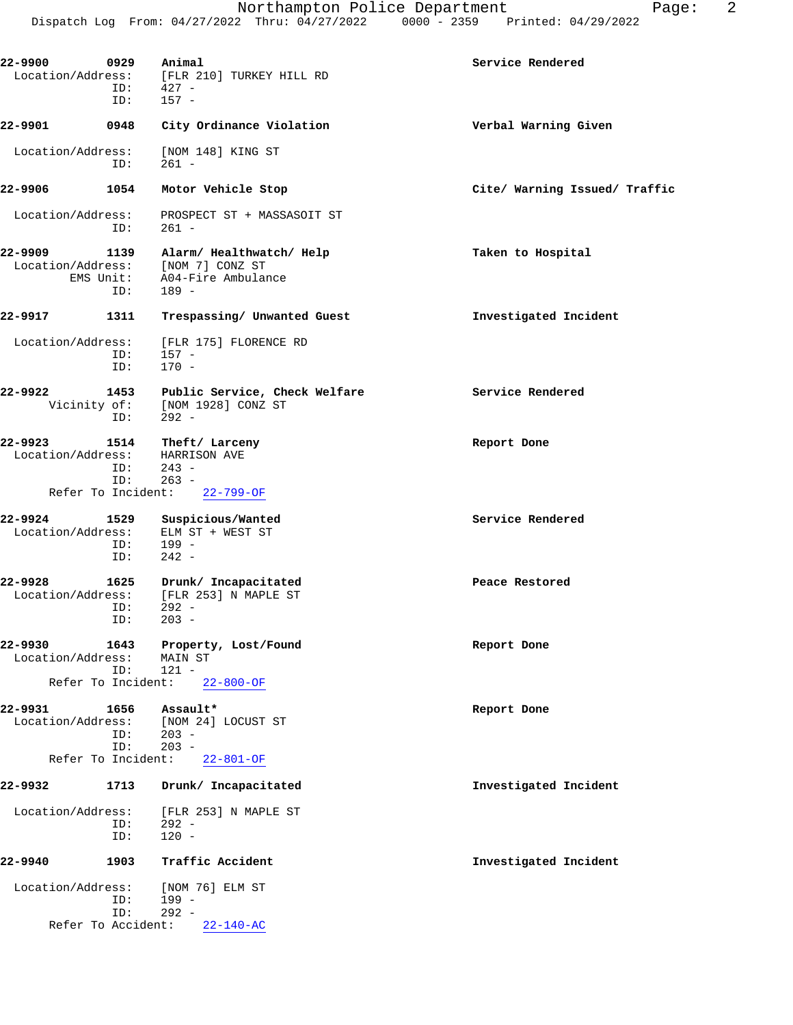| [FLR 210] TURKEY HILL RD<br>$427 -$<br>$157 -$                     |                                                                                                                                                                                                                     |
|--------------------------------------------------------------------|---------------------------------------------------------------------------------------------------------------------------------------------------------------------------------------------------------------------|
| City Ordinance Violation                                           | Verbal Warning Given                                                                                                                                                                                                |
| [NOM 148] KING ST<br>$261 -$                                       |                                                                                                                                                                                                                     |
| Motor Vehicle Stop                                                 | Cite/ Warning Issued/ Traffic                                                                                                                                                                                       |
| PROSPECT ST + MASSASOIT ST<br>$261 -$                              |                                                                                                                                                                                                                     |
| Alarm/ Healthwatch/ Help<br>[NOM 7] CONZ ST<br>$189 -$             | Taken to Hospital                                                                                                                                                                                                   |
| Trespassing/ Unwanted Guest                                        | Investigated Incident                                                                                                                                                                                               |
| [FLR 175] FLORENCE RD<br>$157 -$<br>$170 -$                        |                                                                                                                                                                                                                     |
| Public Service, Check Welfare<br>[NOM 1928] CONZ ST<br>$292 -$     | Service Rendered                                                                                                                                                                                                    |
| Theft/ Larceny<br>HARRISON AVE<br>$243 -$                          | Report Done                                                                                                                                                                                                         |
| $22 - 799 - OF$                                                    |                                                                                                                                                                                                                     |
| Suspicious/Wanted<br>ELM ST + WEST ST<br>$199 -$<br>$242 -$        | Service Rendered                                                                                                                                                                                                    |
| Drunk/ Incapacitated<br>[FLR 253] N MAPLE ST<br>$292 -$<br>$203 -$ | Peace Restored                                                                                                                                                                                                      |
| Property, Lost/Found<br>MAIN ST<br>$121 -$                         | Report Done                                                                                                                                                                                                         |
|                                                                    | Report Done                                                                                                                                                                                                         |
| [NOM 24] LOCUST ST<br>$203 -$<br>$203 -$                           |                                                                                                                                                                                                                     |
|                                                                    | Investigated Incident                                                                                                                                                                                               |
| [FLR 253] N MAPLE ST                                               |                                                                                                                                                                                                                     |
| $292 -$<br>$120 -$                                                 |                                                                                                                                                                                                                     |
| Traffic Accident                                                   | Investigated Incident                                                                                                                                                                                               |
| [NOM 76] ELM ST<br>$199 -$                                         |                                                                                                                                                                                                                     |
| $292 -$                                                            |                                                                                                                                                                                                                     |
|                                                                    | EMS Unit: A04-Fire Ambulance<br>$263 -$<br>Refer To Incident:<br>Refer To Incident:<br>$22 - 800 - OF$<br>Assault*<br>Refer To Incident:<br>$22 - 801 - OF$<br>Drunk/ Incapacitated<br>Refer To Accident: 22-140-AC |